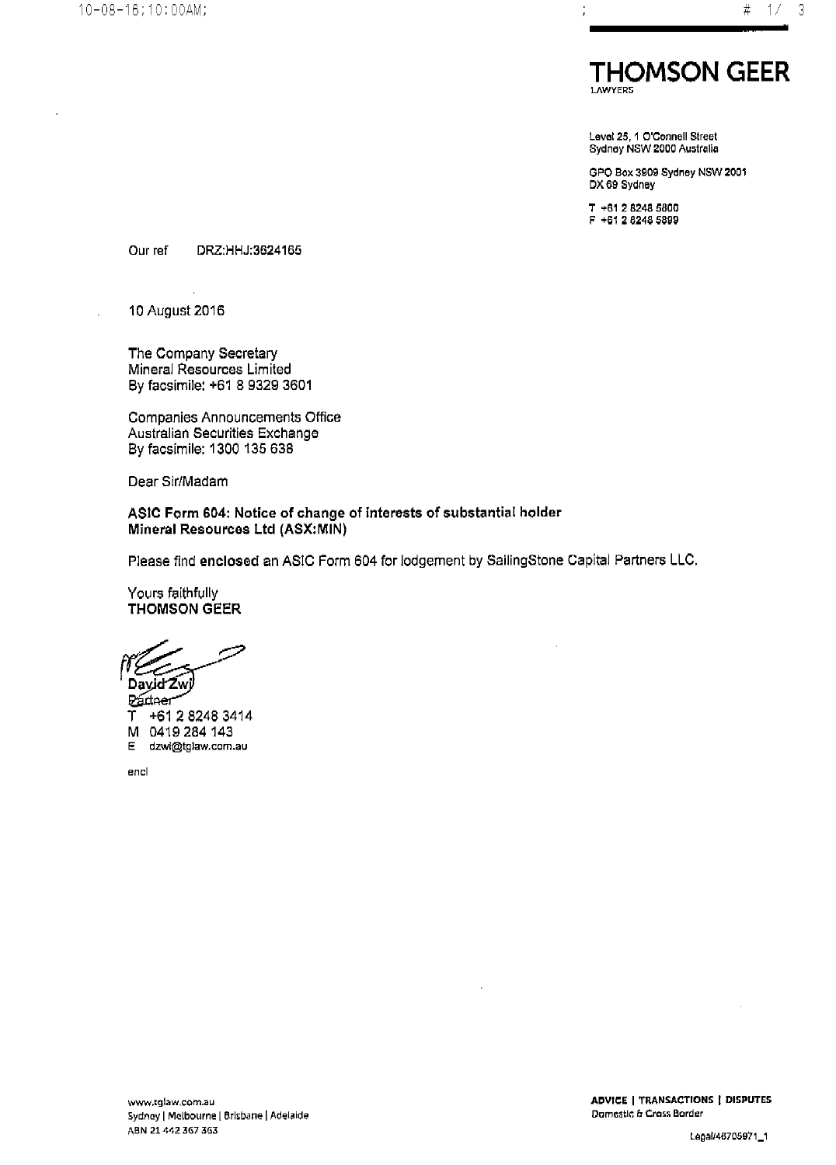

Level 25, 1 O'Connell Street Sydney NSW 2000 Australia

GPO Box 3909 Sydney NSW 2001 DX 69 Sydney

T +61 2 8248 5800 F +61 2 8248 5899

DRZ:HHJ:3624165 Our ref

10 August 2016

The Company Secretary Mineral Resources Limited By facsimile: +61 8 9329 3601

Companies Announcements Office Australian Securities Exchange By facsimile: 1300 135 638

Dear Sir/Madam

ASIC Form 604: Notice of change of interests of substantial holder Mineral Resources Ltd (ASX:MIN)

Please find enclosed an ASIC Form 604 for lodgement by SailingStone Capital Partners LLC.

Yours faithfully **THOMSON GEER** 

David Zwi

**Pádaer** +61 2 8248 3414 Υ M 0419 284 143 E dzwi@tglaw.com.au

encl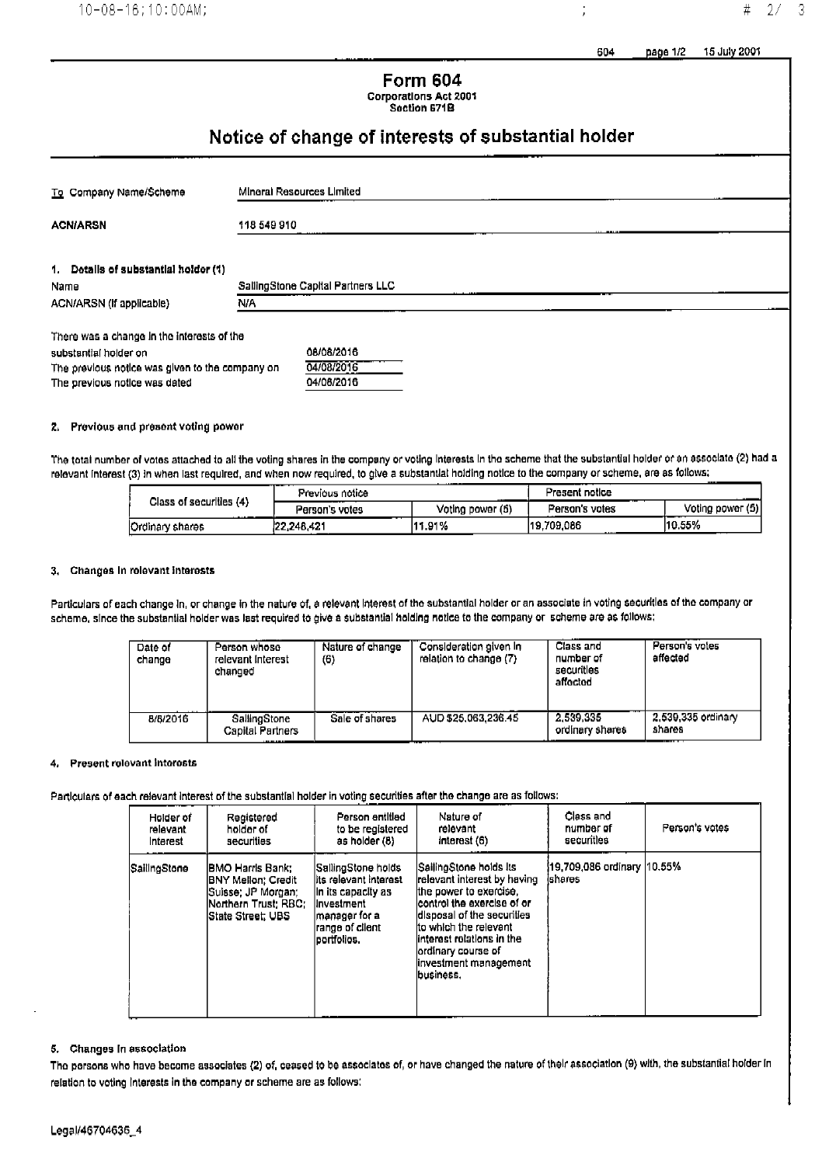page 1/2 15 July 2001

## 604

j

| Form 604                                     |
|----------------------------------------------|
| <b>Corporations Act 2001</b><br>Section 671B |

# Notice of change of interests of substantial holder

| To Company Name/Scheme                          |  | Mineral Resources Limited         |  |  |  |  |
|-------------------------------------------------|--|-----------------------------------|--|--|--|--|
| <b>ACN/ARSN</b>                                 |  | 118 549 910                       |  |  |  |  |
| 1. Dotalls of substantial holder (1)            |  |                                   |  |  |  |  |
| Name                                            |  | SallingStone Capital Partners LLC |  |  |  |  |
| N/A<br>ACN/ARSN (if applicable)                 |  |                                   |  |  |  |  |
| There was a change in the interests of the      |  |                                   |  |  |  |  |
| substantial holder on                           |  | 08/08/2016                        |  |  |  |  |
| The previous notice was given to the company on |  | 04/08/2016                        |  |  |  |  |

### 2. Previous and present voting power

The previous notice was dated

The total number of votes attached to all the voting shares in the company or voting interests in the scheme that the substantial holder or an associate (2) had a relevant interest (3) in when last required, and when now required, to give a substantial holding notice to the company or scheme, are as follows:

04/08/2016

|                                   | _____<br>Previous notice<br> |                  | Present notice       |                  |
|-----------------------------------|------------------------------|------------------|----------------------|------------------|
| Class of securities (4)<br>------ | ____<br>Person's votes       | Voting power (5) | Person's votes       | Voting power (5) |
| Ordinary shares                   | --<br>22.248.421             | 111.91%          | 19.709.086<br>------ | 10.55%           |

#### 3. Changes in rolevant interests

Particulars of each change in, or change in the nature of, a relevant interest of the substantial holder or an associate in voting securities of the company or scheme, since the substantial holder was last required to give a substantial holding notice to the company or scheme are as follows:

| Date of<br>change | Person whose<br>relevant interest<br>changed | Nature of change<br>(6) | Consideration given in<br>relation to change (7) | Class and<br>number of<br>securities<br>affactod | Person's votes<br>affected          |
|-------------------|----------------------------------------------|-------------------------|--------------------------------------------------|--------------------------------------------------|-------------------------------------|
| 8/8/2016          | SallingStone<br>Capital Partners<br>.        | Sale of shares          | AUD 525,063,236.45                               | 2.539.335<br>ordinary shares                     | 2.539,335 ordinary<br>shares<br>——— |

#### **Present relevant interests**  $4.$

Particulars of each relevant interest of the substantial holder in voting securities after the change are as follows:

| Holder of    | Registered                                                                                                                         | Person entitled                                                                                                                        | Nature of                                                                                                                                                                                                                                                           | Class and                              | Person's votes |
|--------------|------------------------------------------------------------------------------------------------------------------------------------|----------------------------------------------------------------------------------------------------------------------------------------|---------------------------------------------------------------------------------------------------------------------------------------------------------------------------------------------------------------------------------------------------------------------|----------------------------------------|----------------|
| rəlavant     | holder of                                                                                                                          | to be registered                                                                                                                       | relevant                                                                                                                                                                                                                                                            | number of                              |                |
| Interest     | securities                                                                                                                         | as holder (8)                                                                                                                          | interest (6)                                                                                                                                                                                                                                                        | securities                             |                |
| SailingStone | IBMO Harris Bank:<br><b>IBNY Mellon: Credit</b><br>lSuisse: JP Morgan:<br><b>Northern Trust: RBC:</b><br><b>IState Street: UBS</b> | SallingStone holds <br>lits relevant interest<br>in its capacity as<br>linvestment<br>Imanager for a<br>range of cilent<br>portfolios. | SailingStone holds its<br>relevant interest by having<br>lthe power to exercise.<br>lcontrol the exercise of or<br>disposal of the securities<br>ito which the relevant<br>linterest rolations in the<br>lordinary course of<br>linvestment management<br>business. | 19.709.086 ordinary 110.55%<br>ishares |                |

#### 5. Changes In association

The persons who have become associates (2) of, ceased to be associates of, or have changed the nature of their association (9) with, the substantial holder in relation to voting interests in the company or scheme are as follows: